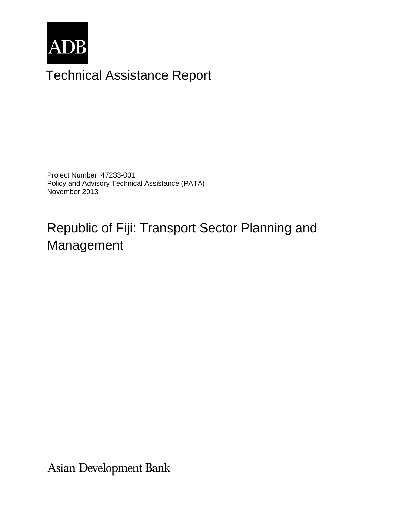

# Technical Assistance Report

Project Number: 47233-001 Policy and Advisory Technical Assistance (PATA) November 2013

# Republic of Fiji: Transport Sector Planning and Management

Asian Development Bank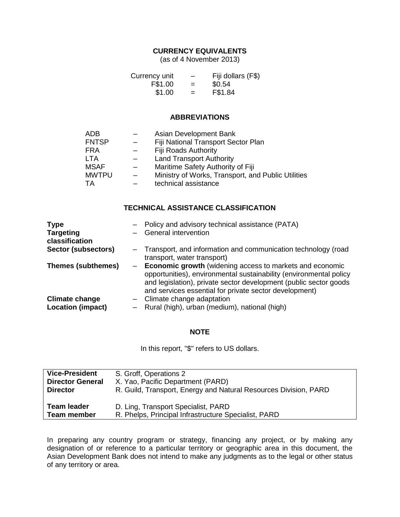## **CURRENCY EQUIVALENTS**

(as of 4 November 2013)

| Currency unit | $\overline{\phantom{m}}$ | Fiji dollars (F\$) |
|---------------|--------------------------|--------------------|
| F\$1.00       | $=$                      | \$0.54             |
| \$1.00        | $=$                      | F\$1.84            |

#### **ABBREVIATIONS**

| ADB          | Asian Development Bank                             |
|--------------|----------------------------------------------------|
| <b>FNTSP</b> | Fiji National Transport Sector Plan                |
| <b>FRA</b>   | <b>Fiji Roads Authority</b>                        |
| <b>LTA</b>   | <b>Land Transport Authority</b>                    |
| <b>MSAF</b>  | Maritime Safety Authority of Fiji                  |
| <b>MWTPU</b> | Ministry of Works, Transport, and Public Utilities |
| TA           | technical assistance                               |

### **TECHNICAL ASSISTANCE CLASSIFICATION**

| <b>Type</b>                                       | - Policy and advisory technical assistance (PATA)                                                                                                                                                                                                               |
|---------------------------------------------------|-----------------------------------------------------------------------------------------------------------------------------------------------------------------------------------------------------------------------------------------------------------------|
| <b>Targeting</b><br>classification                | <b>General intervention</b>                                                                                                                                                                                                                                     |
| Sector (subsectors)                               | - Transport, and information and communication technology (road<br>transport, water transport)                                                                                                                                                                  |
| <b>Themes (subthemes)</b>                         | - Economic growth (widening access to markets and economic<br>opportunities), environmental sustainability (environmental policy<br>and legislation), private sector development (public sector goods<br>and services essential for private sector development) |
| <b>Climate change</b><br><b>Location (impact)</b> | - Climate change adaptation<br>- Rural (high), urban (medium), national (high)                                                                                                                                                                                  |

#### **NOTE**

In this report, "\$" refers to US dollars.

| <b>Vice-President</b>   | S. Groff, Operations 2                                           |
|-------------------------|------------------------------------------------------------------|
| <b>Director General</b> | X. Yao, Pacific Department (PARD)                                |
| <b>Director</b>         | R. Guild, Transport, Energy and Natural Resources Division, PARD |
| <b>Team leader</b>      | D. Ling, Transport Specialist, PARD                              |
| <b>Team member</b>      | R. Phelps, Principal Infrastructure Specialist, PARD             |

In preparing any country program or strategy, financing any project, or by making any designation of or reference to a particular territory or geographic area in this document, the Asian Development Bank does not intend to make any judgments as to the legal or other status of any territory or area.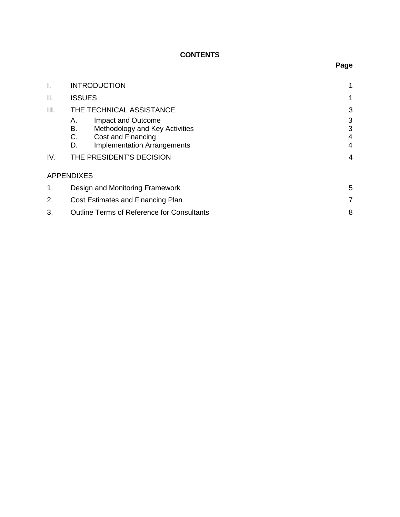# **CONTENTS**

| I.   | <b>INTRODUCTION</b>                                    |   |  |
|------|--------------------------------------------------------|---|--|
| ΙΙ.  | <b>ISSUES</b>                                          | 1 |  |
| III. | THE TECHNICAL ASSISTANCE                               | 3 |  |
|      | Impact and Outcome<br>А.                               | 3 |  |
|      | В.<br>Methodology and Key Activities                   | 3 |  |
|      | C.<br>Cost and Financing                               | 4 |  |
|      | <b>Implementation Arrangements</b><br>D.               | 4 |  |
| IV.  | THE PRESIDENT'S DECISION                               | 4 |  |
|      | <b>APPENDIXES</b>                                      |   |  |
| 1.   | Design and Monitoring Framework                        |   |  |
| 2.   | Cost Estimates and Financing Plan                      |   |  |
| 3.   | 8<br><b>Outline Terms of Reference for Consultants</b> |   |  |

# **Page**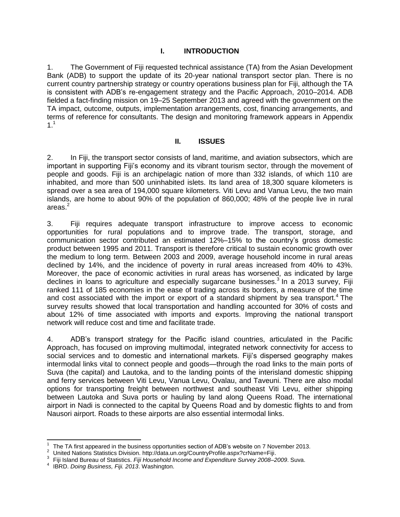## **I. INTRODUCTION**

1. The Government of Fiji requested technical assistance (TA) from the Asian Development Bank (ADB) to support the update of its 20-year national transport sector plan. There is no current country partnership strategy or country operations business plan for Fiji, although the TA is consistent with ADB's re-engagement strategy and the Pacific Approach, 2010–2014. ADB fielded a fact-finding mission on 19–25 September 2013 and agreed with the government on the TA impact, outcome, outputs, implementation arrangements, cost, financing arrangements, and terms of reference for consultants. The design and monitoring framework appears in Appendix  $1<sup>1</sup>$ 

#### **II. ISSUES**

2. In Fiji, the transport sector consists of land, maritime, and aviation subsectors, which are important in supporting Fiji's economy and its vibrant tourism sector, through the movement of people and goods. Fiji is an archipelagic nation of more than 332 islands, of which 110 are inhabited, and more than 500 uninhabited islets. Its land area of 18,300 square kilometers is spread over a sea area of 194,000 square kilometers. Viti Levu and Vanua Levu, the two main islands, are home to about 90% of the population of 860,000; 48% of the people live in rural areas.<sup>2</sup>

3. Fiji requires adequate transport infrastructure to improve access to economic opportunities for rural populations and to improve trade. The transport, storage, and communication sector contributed an estimated 12%–15% to the country's gross domestic product between 1995 and 2011. Transport is therefore critical to sustain economic growth over the medium to long term. Between 2003 and 2009, average household income in rural areas declined by 14%, and the incidence of poverty in rural areas increased from 40% to 43%. Moreover, the pace of economic activities in rural areas has worsened, as indicated by large declines in loans to agriculture and especially sugarcane businesses.<sup>3</sup> In a 2013 survey, Fiji ranked 111 of 185 economies in the ease of trading across its borders, a measure of the time and cost associated with the import or export of a standard shipment by sea transport.<sup>4</sup> The survey results showed that local transportation and handling accounted for 30% of costs and about 12% of time associated with imports and exports. Improving the national transport network will reduce cost and time and facilitate trade.

4. ADB's transport strategy for the Pacific island countries, articulated in the Pacific Approach, has focused on improving multimodal, integrated network connectivity for access to social services and to domestic and international markets. Fiji's dispersed geography makes intermodal links vital to connect people and goods—through the road links to the main ports of Suva (the capital) and Lautoka, and to the landing points of the interisland domestic shipping and ferry services between Viti Levu, Vanua Levu, Ovalau, and Taveuni. There are also modal options for transporting freight between northwest and southeast Viti Levu, either shipping between Lautoka and Suva ports or hauling by land along Queens Road. The international airport in Nadi is connected to the capital by Queens Road and by domestic flights to and from Nausori airport. Roads to these airports are also essential intermodal links.

 $\overline{a}$ 1 The TA first appeared in the business opportunities section of ADB's website on 7 November 2013.

<sup>2</sup> United Nations Statistics Division. http://data.un.org/CountryProfile.aspx?crName=Fiji.

<sup>3</sup> Fiji Island Bureau of Statistics. *Fiji Household Income and Expenditure Survey 2008–2009*. Suva.

<sup>4</sup> IBRD. *Doing Business, Fiji. 2013*. Washington.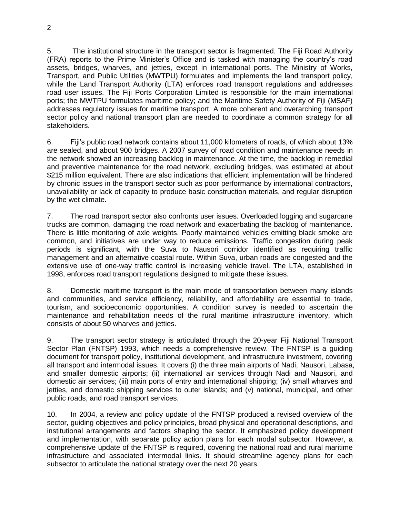5. The institutional structure in the transport sector is fragmented. The Fiji Road Authority (FRA) reports to the Prime Minister's Office and is tasked with managing the country's road assets, bridges, wharves, and jetties, except in international ports. The Ministry of Works, Transport, and Public Utilities (MWTPU) formulates and implements the land transport policy, while the Land Transport Authority (LTA) enforces road transport regulations and addresses road user issues. The Fiji Ports Corporation Limited is responsible for the main international ports; the MWTPU formulates maritime policy; and the Maritime Safety Authority of Fiji (MSAF) addresses regulatory issues for maritime transport. A more coherent and overarching transport sector policy and national transport plan are needed to coordinate a common strategy for all stakeholders.

6. Fiji's public road network contains about 11,000 kilometers of roads, of which about 13% are sealed, and about 900 bridges. A 2007 survey of road condition and maintenance needs in the network showed an increasing backlog in maintenance. At the time, the backlog in remedial and preventive maintenance for the road network, excluding bridges, was estimated at about \$215 million equivalent. There are also indications that efficient implementation will be hindered by chronic issues in the transport sector such as poor performance by international contractors, unavailability or lack of capacity to produce basic construction materials, and regular disruption by the wet climate.

7. The road transport sector also confronts user issues. Overloaded logging and sugarcane trucks are common, damaging the road network and exacerbating the backlog of maintenance. There is little monitoring of axle weights. Poorly maintained vehicles emitting black smoke are common, and initiatives are under way to reduce emissions. Traffic congestion during peak periods is significant, with the Suva to Nausori corridor identified as requiring traffic management and an alternative coastal route. Within Suva, urban roads are congested and the extensive use of one-way traffic control is increasing vehicle travel. The LTA, established in 1998, enforces road transport regulations designed to mitigate these issues.

8. Domestic maritime transport is the main mode of transportation between many islands and communities, and service efficiency, reliability, and affordability are essential to trade, tourism, and socioeconomic opportunities. A condition survey is needed to ascertain the maintenance and rehabilitation needs of the rural maritime infrastructure inventory, which consists of about 50 wharves and jetties.

9. The transport sector strategy is articulated through the 20-year Fiji National Transport Sector Plan (FNTSP) 1993, which needs a comprehensive review. The FNTSP is a guiding document for transport policy, institutional development, and infrastructure investment, covering all transport and intermodal issues. It covers (i) the three main airports of Nadi, Nausori, Labasa, and smaller domestic airports; (ii) international air services through Nadi and Nausori, and domestic air services; (iii) main ports of entry and international shipping; (iv) small wharves and jetties, and domestic shipping services to outer islands; and (v) national, municipal, and other public roads, and road transport services.

10. In 2004, a review and policy update of the FNTSP produced a revised overview of the sector, guiding objectives and policy principles, broad physical and operational descriptions, and institutional arrangements and factors shaping the sector. It emphasized policy development and implementation, with separate policy action plans for each modal subsector. However, a comprehensive update of the FNTSP is required, covering the national road and rural maritime infrastructure and associated intermodal links. It should streamline agency plans for each subsector to articulate the national strategy over the next 20 years.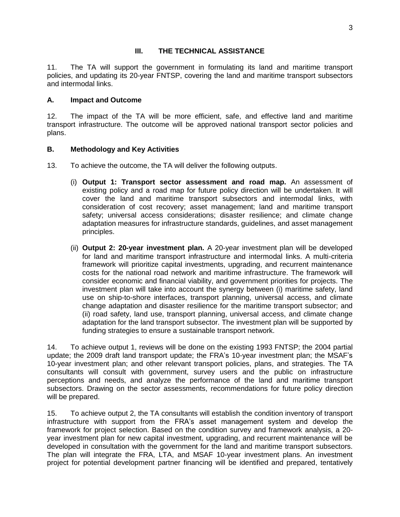### **III. THE TECHNICAL ASSISTANCE**

11. The TA will support the government in formulating its land and maritime transport policies, and updating its 20-year FNTSP, covering the land and maritime transport subsectors and intermodal links.

### **A. Impact and Outcome**

12. The impact of the TA will be more efficient, safe, and effective land and maritime transport infrastructure. The outcome will be approved national transport sector policies and plans.

## **B. Methodology and Key Activities**

- 13. To achieve the outcome, the TA will deliver the following outputs.
	- (i) **Output 1: Transport sector assessment and road map.** An assessment of existing policy and a road map for future policy direction will be undertaken. It will cover the land and maritime transport subsectors and intermodal links, with consideration of cost recovery; asset management; land and maritime transport safety; universal access considerations; disaster resilience; and climate change adaptation measures for infrastructure standards, guidelines, and asset management principles.
	- (ii) **Output 2: 20-year investment plan.** A 20-year investment plan will be developed for land and maritime transport infrastructure and intermodal links. A multi-criteria framework will prioritize capital investments, upgrading, and recurrent maintenance costs for the national road network and maritime infrastructure. The framework will consider economic and financial viability, and government priorities for projects. The investment plan will take into account the synergy between (i) maritime safety, land use on ship-to-shore interfaces, transport planning, universal access, and climate change adaptation and disaster resilience for the maritime transport subsector; and (ii) road safety, land use, transport planning, universal access, and climate change adaptation for the land transport subsector. The investment plan will be supported by funding strategies to ensure a sustainable transport network.

14. To achieve output 1, reviews will be done on the existing 1993 FNTSP; the 2004 partial update; the 2009 draft land transport update; the FRA's 10-year investment plan; the MSAF's 10-year investment plan; and other relevant transport policies, plans, and strategies. The TA consultants will consult with government, survey users and the public on infrastructure perceptions and needs, and analyze the performance of the land and maritime transport subsectors. Drawing on the sector assessments, recommendations for future policy direction will be prepared.

15. To achieve output 2, the TA consultants will establish the condition inventory of transport infrastructure with support from the FRA's asset management system and develop the framework for project selection. Based on the condition survey and framework analysis, a 20 year investment plan for new capital investment, upgrading, and recurrent maintenance will be developed in consultation with the government for the land and maritime transport subsectors. The plan will integrate the FRA, LTA, and MSAF 10-year investment plans. An investment project for potential development partner financing will be identified and prepared, tentatively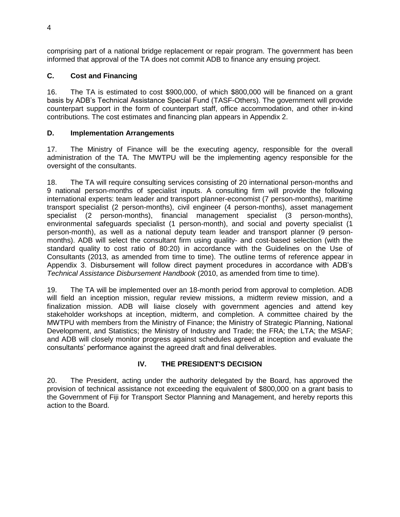comprising part of a national bridge replacement or repair program. The government has been informed that approval of the TA does not commit ADB to finance any ensuing project.

# **C. Cost and Financing**

16. The TA is estimated to cost \$900,000, of which \$800,000 will be financed on a grant basis by ADB's Technical Assistance Special Fund (TASF-Others). The government will provide counterpart support in the form of counterpart staff, office accommodation, and other in-kind contributions. The cost estimates and financing plan appears in Appendix 2.

## **D. Implementation Arrangements**

17. The Ministry of Finance will be the executing agency, responsible for the overall administration of the TA. The MWTPU will be the implementing agency responsible for the oversight of the consultants.

18. The TA will require consulting services consisting of 20 international person-months and 9 national person-months of specialist inputs. A consulting firm will provide the following international experts: team leader and transport planner-economist (7 person-months), maritime transport specialist (2 person-months), civil engineer (4 person-months), asset management specialist (2 person-months), financial management specialist (3 person-months), environmental safeguards specialist (1 person-month), and social and poverty specialist (1 person-month), as well as a national deputy team leader and transport planner (9 personmonths). ADB will select the consultant firm using quality- and cost-based selection (with the standard quality to cost ratio of 80:20) in accordance with the Guidelines on the Use of Consultants (2013, as amended from time to time). The outline terms of reference appear in Appendix 3. Disbursement will follow direct payment procedures in accordance with ADB's *Technical Assistance Disbursement Handbook* (2010, as amended from time to time).

19. The TA will be implemented over an 18-month period from approval to completion. ADB will field an inception mission, regular review missions, a midterm review mission, and a finalization mission. ADB will liaise closely with government agencies and attend key stakeholder workshops at inception, midterm, and completion. A committee chaired by the MWTPU with members from the Ministry of Finance; the Ministry of Strategic Planning, National Development, and Statistics; the Ministry of Industry and Trade; the FRA; the LTA; the MSAF; and ADB will closely monitor progress against schedules agreed at inception and evaluate the consultants' performance against the agreed draft and final deliverables.

# **IV. THE PRESIDENT'S DECISION**

20. The President, acting under the authority delegated by the Board, has approved the provision of technical assistance not exceeding the equivalent of \$800,000 on a grant basis to the Government of Fiji for Transport Sector Planning and Management, and hereby reports this action to the Board.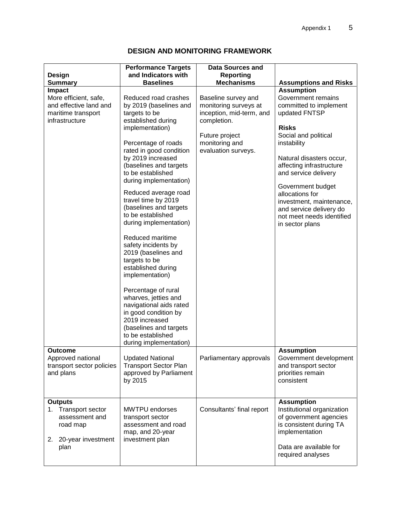# **DESIGN AND MONITORING FRAMEWORK**

| <b>Design</b><br><b>Summary</b>                                                                         | <b>Performance Targets</b><br>and Indicators with<br><b>Baselines</b>                                                                                                                                                                                                                                                                                                                                                                                                                                                                                                                                                                                                           | <b>Data Sources and</b><br><b>Reporting</b><br><b>Mechanisms</b>                                                                                   | <b>Assumptions and Risks</b>                                                                                                                                                                                                                                                                                                                                             |
|---------------------------------------------------------------------------------------------------------|---------------------------------------------------------------------------------------------------------------------------------------------------------------------------------------------------------------------------------------------------------------------------------------------------------------------------------------------------------------------------------------------------------------------------------------------------------------------------------------------------------------------------------------------------------------------------------------------------------------------------------------------------------------------------------|----------------------------------------------------------------------------------------------------------------------------------------------------|--------------------------------------------------------------------------------------------------------------------------------------------------------------------------------------------------------------------------------------------------------------------------------------------------------------------------------------------------------------------------|
| Impact<br>More efficient, safe,<br>and effective land and<br>maritime transport<br>infrastructure       | Reduced road crashes<br>by 2019 (baselines and<br>targets to be<br>established during<br>implementation)<br>Percentage of roads<br>rated in good condition<br>by 2019 increased<br>(baselines and targets<br>to be established<br>during implementation)<br>Reduced average road<br>travel time by 2019<br>(baselines and targets<br>to be established<br>during implementation)<br>Reduced maritime<br>safety incidents by<br>2019 (baselines and<br>targets to be<br>established during<br>implementation)<br>Percentage of rural<br>wharves, jetties and<br>navigational aids rated<br>in good condition by<br>2019 increased<br>(baselines and targets<br>to be established | Baseline survey and<br>monitoring surveys at<br>inception, mid-term, and<br>completion.<br>Future project<br>monitoring and<br>evaluation surveys. | <b>Assumption</b><br>Government remains<br>committed to implement<br>updated FNTSP<br><b>Risks</b><br>Social and political<br>instability<br>Natural disasters occur,<br>affecting infrastructure<br>and service delivery<br>Government budget<br>allocations for<br>investment, maintenance,<br>and service delivery do<br>not meet needs identified<br>in sector plans |
| <b>Outcome</b><br>Approved national<br>transport sector policies<br>and plans                           | during implementation)<br><b>Updated National</b><br><b>Transport Sector Plan</b><br>approved by Parliament<br>by 2015                                                                                                                                                                                                                                                                                                                                                                                                                                                                                                                                                          | Parliamentary approvals                                                                                                                            | <b>Assumption</b><br>Government development<br>and transport sector<br>priorities remain<br>consistent                                                                                                                                                                                                                                                                   |
| <b>Outputs</b><br>1. Transport sector<br>assessment and<br>road map<br>20-year investment<br>2.<br>plan | <b>MWTPU</b> endorses<br>transport sector<br>assessment and road<br>map, and 20-year<br>investment plan                                                                                                                                                                                                                                                                                                                                                                                                                                                                                                                                                                         | Consultants' final report                                                                                                                          | <b>Assumption</b><br>Institutional organization<br>of government agencies<br>is consistent during TA<br>implementation<br>Data are available for<br>required analyses                                                                                                                                                                                                    |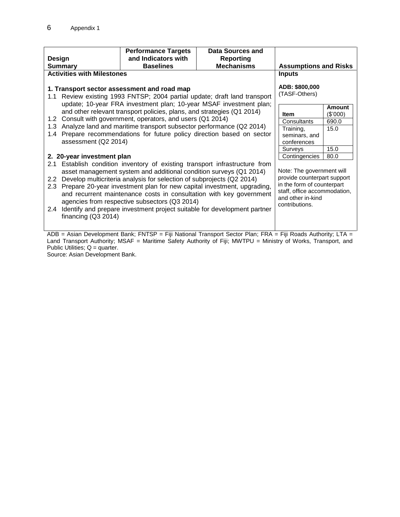|                                                                                                                                                                                                                                                                                                                                                                                                                                                                                                                                                               | <b>Performance Targets</b>                                                                                                                               | <b>Data Sources and</b>                                                                                         |                                                                                                                                                               |          |
|---------------------------------------------------------------------------------------------------------------------------------------------------------------------------------------------------------------------------------------------------------------------------------------------------------------------------------------------------------------------------------------------------------------------------------------------------------------------------------------------------------------------------------------------------------------|----------------------------------------------------------------------------------------------------------------------------------------------------------|-----------------------------------------------------------------------------------------------------------------|---------------------------------------------------------------------------------------------------------------------------------------------------------------|----------|
| Design<br><b>Summary</b>                                                                                                                                                                                                                                                                                                                                                                                                                                                                                                                                      | and Indicators with<br><b>Baselines</b>                                                                                                                  | <b>Reporting</b><br><b>Mechanisms</b>                                                                           | <b>Assumptions and Risks</b>                                                                                                                                  |          |
| <b>Activities with Milestones</b>                                                                                                                                                                                                                                                                                                                                                                                                                                                                                                                             |                                                                                                                                                          |                                                                                                                 | <b>Inputs</b>                                                                                                                                                 |          |
| 1. Transport sector assessment and road map<br>Review existing 1993 FNTSP; 2004 partial update; draft land transport<br>1.1<br>update; 10-year FRA investment plan; 10-year MSAF investment plan;                                                                                                                                                                                                                                                                                                                                                             |                                                                                                                                                          |                                                                                                                 | ADB: \$800,000<br>(TASF-Others)                                                                                                                               | Amount   |
| and other relevant transport policies, plans, and strategies (Q1 2014)                                                                                                                                                                                                                                                                                                                                                                                                                                                                                        |                                                                                                                                                          |                                                                                                                 | <b>Item</b>                                                                                                                                                   | (\$'000) |
| Consult with government, operators, and users (Q1 2014)<br>1.2                                                                                                                                                                                                                                                                                                                                                                                                                                                                                                |                                                                                                                                                          |                                                                                                                 | Consultants                                                                                                                                                   | 690.0    |
|                                                                                                                                                                                                                                                                                                                                                                                                                                                                                                                                                               | Analyze land and maritime transport subsector performance (Q2 2014)<br>1.3<br>Prepare recommendations for future policy direction based on sector<br>1.4 |                                                                                                                 |                                                                                                                                                               | 15.0     |
|                                                                                                                                                                                                                                                                                                                                                                                                                                                                                                                                                               |                                                                                                                                                          |                                                                                                                 |                                                                                                                                                               |          |
|                                                                                                                                                                                                                                                                                                                                                                                                                                                                                                                                                               | assessment (Q2 2014)                                                                                                                                     |                                                                                                                 |                                                                                                                                                               |          |
|                                                                                                                                                                                                                                                                                                                                                                                                                                                                                                                                                               | Surveys                                                                                                                                                  | 15.0                                                                                                            |                                                                                                                                                               |          |
| 2. 20-year investment plan                                                                                                                                                                                                                                                                                                                                                                                                                                                                                                                                    |                                                                                                                                                          |                                                                                                                 | Contingencies                                                                                                                                                 | 80.0     |
| 2.1 Establish condition inventory of existing transport infrastructure from<br>asset management system and additional condition surveys (Q1 2014)<br>Develop multicriteria analysis for selection of subprojects (Q2 2014)<br>$2.2^{\circ}$<br>2.3 Prepare 20-year investment plan for new capital investment, upgrading,<br>and recurrent maintenance costs in consultation with key government<br>agencies from respective subsectors (Q3 2014)<br>Identify and prepare investment project suitable for development partner<br>2.4<br>financing $(Q3 2014)$ |                                                                                                                                                          |                                                                                                                 | Note: The government will<br>provide counterpart support<br>in the form of counterpart<br>staff, office accommodation,<br>and other in-kind<br>contributions. |          |
|                                                                                                                                                                                                                                                                                                                                                                                                                                                                                                                                                               |                                                                                                                                                          | $ADR = Acion Dovolomont Bank: ENTCP = Fiii National Transport; Cotorin Plan: EDA = Fiii Doode Authoritr: ITA =$ |                                                                                                                                                               |          |

ADB = Asian Development Bank; FNTSP = Fiji National Transport Sector Plan; FRA = Fiji Roads Authority; LTA = Land Transport Authority; MSAF = Maritime Safety Authority of Fiji; MWTPU = Ministry of Works, Transport, and Public Utilities;  $Q =$  quarter.

Source: Asian Development Bank.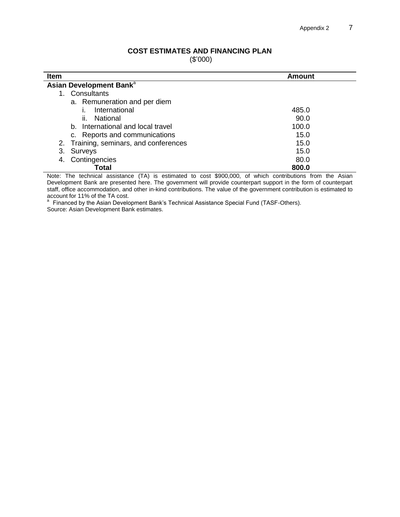#### **COST ESTIMATES AND FINANCING PLAN**

(\$'000)

| <b>Item</b>                            | Amount |
|----------------------------------------|--------|
| Asian Development Bank <sup>a</sup>    |        |
| Consultants                            |        |
| a. Remuneration and per diem           |        |
| International                          | 485.0  |
| ii. National                           | 90.0   |
| b. International and local travel      | 100.0  |
| c. Reports and communications          | 15.0   |
| 2. Training, seminars, and conferences | 15.0   |
| 3. Surveys                             | 15.0   |
| 4. Contingencies                       | 80.0   |
| Total                                  | 800.0  |

Note: The technical assistance (TA) is estimated to cost \$900,000, of which contributions from the Asian Development Bank are presented here. The government will provide counterpart support in the form of counterpart staff, office accommodation, and other in-kind contributions. The value of the government contribution is estimated to

account for 11% of the TA cost.<br><sup>a</sup> Financed by the Asian Development Bank's Technical Assistance Special Fund (TASF-Others). Source: Asian Development Bank estimates.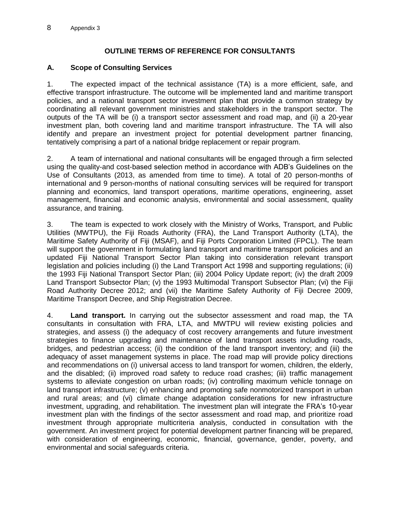## **OUTLINE TERMS OF REFERENCE FOR CONSULTANTS**

## **A. Scope of Consulting Services**

1. The expected impact of the technical assistance (TA) is a more efficient, safe, and effective transport infrastructure. The outcome will be implemented land and maritime transport policies, and a national transport sector investment plan that provide a common strategy by coordinating all relevant government ministries and stakeholders in the transport sector. The outputs of the TA will be (i) a transport sector assessment and road map, and (ii) a 20-year investment plan, both covering land and maritime transport infrastructure. The TA will also identify and prepare an investment project for potential development partner financing, tentatively comprising a part of a national bridge replacement or repair program.

2. A team of international and national consultants will be engaged through a firm selected using the quality-and cost-based selection method in accordance with ADB's Guidelines on the Use of Consultants (2013, as amended from time to time). A total of 20 person-months of international and 9 person-months of national consulting services will be required for transport planning and economics, land transport operations, maritime operations, engineering, asset management, financial and economic analysis, environmental and social assessment, quality assurance, and training.

3. The team is expected to work closely with the Ministry of Works, Transport, and Public Utilities (MWTPU), the Fiji Roads Authority (FRA), the Land Transport Authority (LTA), the Maritime Safety Authority of Fiji (MSAF), and Fiji Ports Corporation Limited (FPCL). The team will support the government in formulating land transport and maritime transport policies and an updated Fiji National Transport Sector Plan taking into consideration relevant transport legislation and policies including (i) the Land Transport Act 1998 and supporting regulations; (ii) the 1993 Fiji National Transport Sector Plan; (iii) 2004 Policy Update report; (iv) the draft 2009 Land Transport Subsector Plan; (v) the 1993 Multimodal Transport Subsector Plan; (vi) the Fiji Road Authority Decree 2012; and (vii) the Maritime Safety Authority of Fiji Decree 2009, Maritime Transport Decree, and Ship Registration Decree.

4. **Land transport.** In carrying out the subsector assessment and road map, the TA consultants in consultation with FRA, LTA, and MWTPU will review existing policies and strategies, and assess (i) the adequacy of cost recovery arrangements and future investment strategies to finance upgrading and maintenance of land transport assets including roads, bridges, and pedestrian access; (ii) the condition of the land transport inventory; and (iii) the adequacy of asset management systems in place. The road map will provide policy directions and recommendations on (i) universal access to land transport for women, children, the elderly, and the disabled; (ii) improved road safety to reduce road crashes; (iii) traffic management systems to alleviate congestion on urban roads; (iv) controlling maximum vehicle tonnage on land transport infrastructure; (v) enhancing and promoting safe nonmotorized transport in urban and rural areas; and (vi) climate change adaptation considerations for new infrastructure investment, upgrading, and rehabilitation. The investment plan will integrate the FRA's 10-year investment plan with the findings of the sector assessment and road map, and prioritize road investment through appropriate multicriteria analysis, conducted in consultation with the government. An investment project for potential development partner financing will be prepared, with consideration of engineering, economic, financial, governance, gender, poverty, and environmental and social safeguards criteria.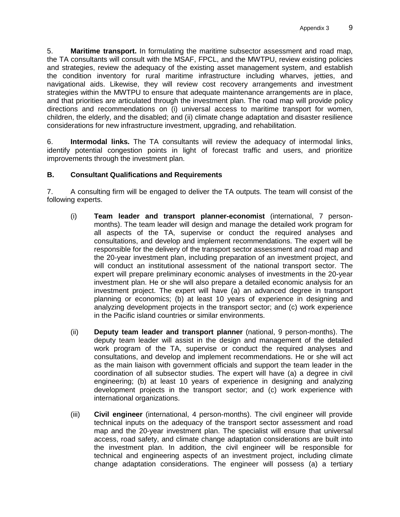5. **Maritime transport.** In formulating the maritime subsector assessment and road map, the TA consultants will consult with the MSAF, FPCL, and the MWTPU, review existing policies and strategies, review the adequacy of the existing asset management system, and establish the condition inventory for rural maritime infrastructure including wharves, jetties, and navigational aids. Likewise, they will review cost recovery arrangements and investment strategies within the MWTPU to ensure that adequate maintenance arrangements are in place, and that priorities are articulated through the investment plan. The road map will provide policy directions and recommendations on (i) universal access to maritime transport for women, children, the elderly, and the disabled; and (ii) climate change adaptation and disaster resilience considerations for new infrastructure investment, upgrading, and rehabilitation.

6. **Intermodal links.** The TA consultants will review the adequacy of intermodal links, identify potential congestion points in light of forecast traffic and users, and prioritize improvements through the investment plan.

## **B. Consultant Qualifications and Requirements**

7. A consulting firm will be engaged to deliver the TA outputs. The team will consist of the following experts.

- (i) **Team leader and transport planner-economist** (international, 7 personmonths). The team leader will design and manage the detailed work program for all aspects of the TA, supervise or conduct the required analyses and consultations, and develop and implement recommendations. The expert will be responsible for the delivery of the transport sector assessment and road map and the 20-year investment plan, including preparation of an investment project, and will conduct an institutional assessment of the national transport sector. The expert will prepare preliminary economic analyses of investments in the 20-year investment plan. He or she will also prepare a detailed economic analysis for an investment project. The expert will have (a) an advanced degree in transport planning or economics; (b) at least 10 years of experience in designing and analyzing development projects in the transport sector; and (c) work experience in the Pacific island countries or similar environments.
- (ii) **Deputy team leader and transport planner** (national, 9 person-months). The deputy team leader will assist in the design and management of the detailed work program of the TA, supervise or conduct the required analyses and consultations, and develop and implement recommendations. He or she will act as the main liaison with government officials and support the team leader in the coordination of all subsector studies. The expert will have (a) a degree in civil engineering; (b) at least 10 years of experience in designing and analyzing development projects in the transport sector; and (c) work experience with international organizations.
- (iii) **Civil engineer** (international, 4 person-months). The civil engineer will provide technical inputs on the adequacy of the transport sector assessment and road map and the 20-year investment plan. The specialist will ensure that universal access, road safety, and climate change adaptation considerations are built into the investment plan. In addition, the civil engineer will be responsible for technical and engineering aspects of an investment project, including climate change adaptation considerations. The engineer will possess (a) a tertiary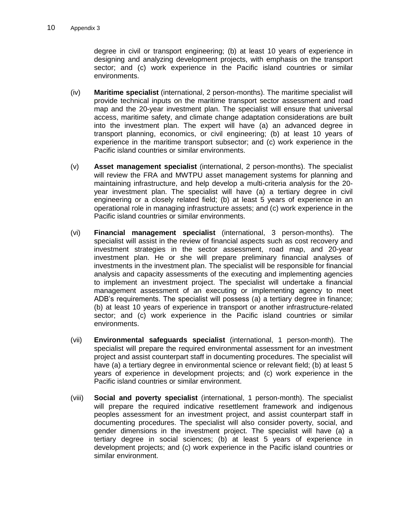degree in civil or transport engineering; (b) at least 10 years of experience in designing and analyzing development projects, with emphasis on the transport sector; and (c) work experience in the Pacific island countries or similar environments.

- (iv) **Maritime specialist** (international, 2 person-months). The maritime specialist will provide technical inputs on the maritime transport sector assessment and road map and the 20-year investment plan. The specialist will ensure that universal access, maritime safety, and climate change adaptation considerations are built into the investment plan. The expert will have (a) an advanced degree in transport planning, economics, or civil engineering; (b) at least 10 years of experience in the maritime transport subsector; and (c) work experience in the Pacific island countries or similar environments.
- (v) **Asset management specialist** (international, 2 person-months). The specialist will review the FRA and MWTPU asset management systems for planning and maintaining infrastructure, and help develop a multi-criteria analysis for the 20 year investment plan. The specialist will have (a) a tertiary degree in civil engineering or a closely related field; (b) at least 5 years of experience in an operational role in managing infrastructure assets; and (c) work experience in the Pacific island countries or similar environments.
- (vi) **Financial management specialist** (international, 3 person-months). The specialist will assist in the review of financial aspects such as cost recovery and investment strategies in the sector assessment, road map, and 20-year investment plan. He or she will prepare preliminary financial analyses of investments in the investment plan. The specialist will be responsible for financial analysis and capacity assessments of the executing and implementing agencies to implement an investment project. The specialist will undertake a financial management assessment of an executing or implementing agency to meet ADB's requirements. The specialist will possess (a) a tertiary degree in finance; (b) at least 10 years of experience in transport or another infrastructure-related sector; and (c) work experience in the Pacific island countries or similar environments.
- (vii) **Environmental safeguards specialist** (international, 1 person-month). The specialist will prepare the required environmental assessment for an investment project and assist counterpart staff in documenting procedures. The specialist will have (a) a tertiary degree in environmental science or relevant field; (b) at least 5 years of experience in development projects; and (c) work experience in the Pacific island countries or similar environment.
- (viii) **Social and poverty specialist** (international, 1 person-month). The specialist will prepare the required indicative resettlement framework and indigenous peoples assessment for an investment project, and assist counterpart staff in documenting procedures. The specialist will also consider poverty, social, and gender dimensions in the investment project. The specialist will have (a) a tertiary degree in social sciences; (b) at least 5 years of experience in development projects; and (c) work experience in the Pacific island countries or similar environment.